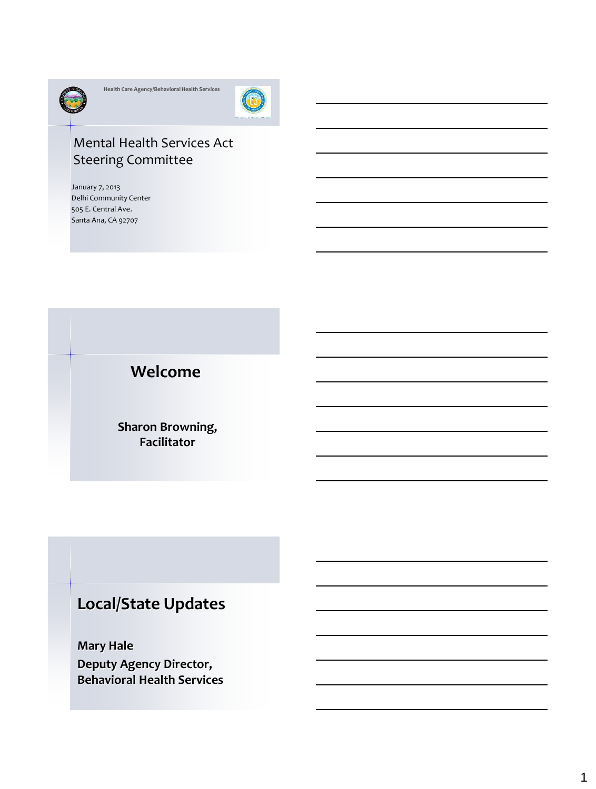

**Health Care Agency/Behavioral Health Services**



### Mental Health Services Act Steering Committee

January 7, 2013 Delhi Community Center 505 E. Central Ave. Santa Ana, CA 92707

**Welcome**

**Sharon Browning, Facilitator**

# **Local/State Updates**

**Mary Hale Deputy Agency Director, Behavioral Health Services**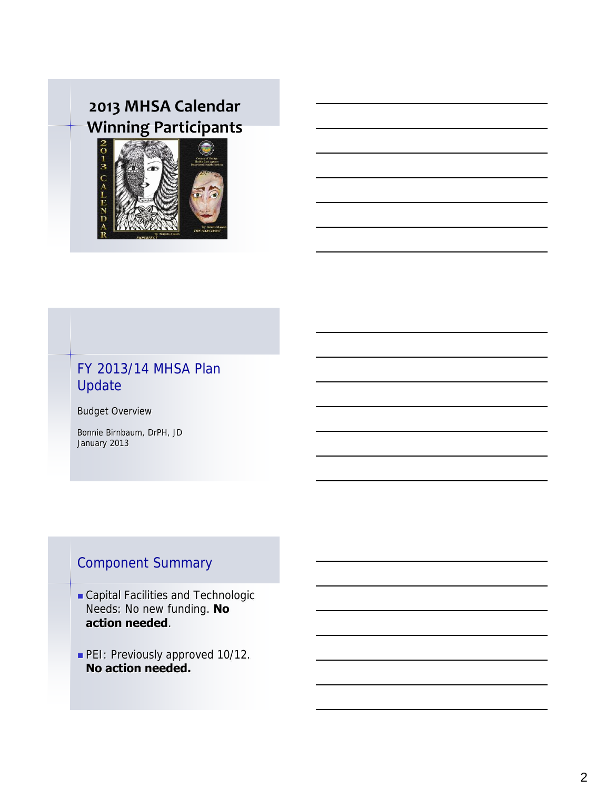# **2013 MHSA Calendar Winning Participants**



### FY 2013/14 MHSA Plan Update

Budget Overview

Bonnie Birnbaum, DrPH, JD January 2013

## Component Summary

- Capital Facilities and Technologic Needs: No new funding. **No action needed**.
- PEI: Previously approved 10/12. **No action needed.**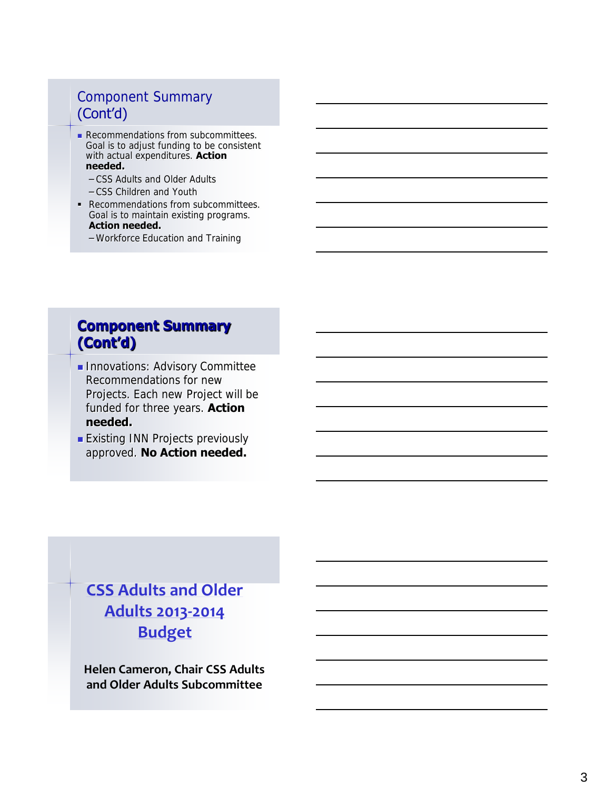### Component Summary (Cont'd)

- Recommendations from subcommittees. Goal is to adjust funding to be consistent with actual expenditures. **Action needed.**
	- CSS Adults and Older Adults
	- CSS Children and Youth
- Recommendations from subcommittees. Goal is to maintain existing programs. **Action needed.**
	- Workforce Education and Training

### **Component Summary (Cont'd)**

- **Innovations: Advisory Committee** Recommendations for new Projects. Each new Project will be funded for three years. **Action needed.**
- **Existing INN Projects previously** approved. **No Action needed.**

# **[CSS Adults and Older](CSS Budget Spreadsheet for Sub Committee Mtng.xls)  [Adults 2013](CSS Budget Spreadsheet for Sub Committee Mtng.xls) [-2014](CSS Budget Spreadsheet for Sub Committee Mtng.xls)  [Budget](CSS Budget Spreadsheet for Sub Committee Mtng.xls)**

**Helen Cameron, Chair CSS Adults and Older Adults Subcommittee**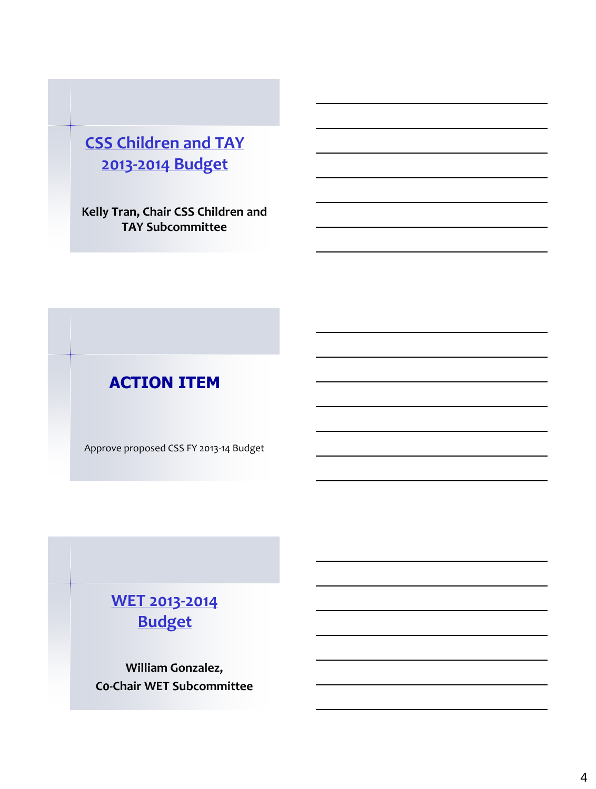# **[CSS Children and TAY](CSS Budget Spreadsheet for Sub Committee Mtng.xls)  [2013-2014 Budget](CSS Budget Spreadsheet for Sub Committee Mtng.xls)**

**Kelly Tran, Chair CSS Children and TAY Subcommittee**

# **ACTION ITEM**

Approve proposed CSS FY 2013-14 Budget

## **[WET 2013-2014](WET Budget Spreadsheet for Sub Committee Mtg.xls)  [Budget](WET Budget Spreadsheet for Sub Committee Mtg.xls)**

**William Gonzalez, C0-Chair WET Subcommittee**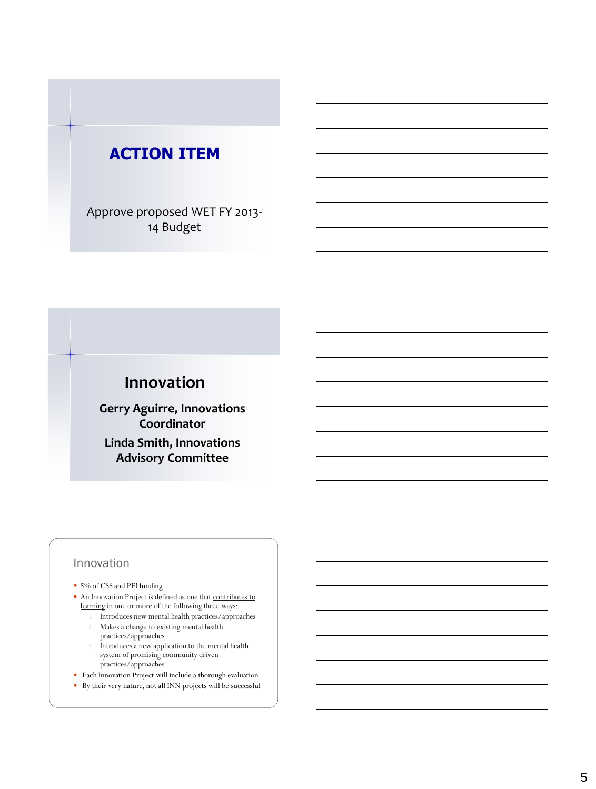# **ACTION ITEM**

Approve proposed WET FY 2013- 14 Budget

## **Innovation**

**Gerry Aguirre, Innovations Coordinator Linda Smith, Innovations Advisory Committee** 

#### Innovation

- 5% of CSS and PEI funding
- An Innovation Project is defined as one that contributes to learning in one or more of the following three ways:
	- 1. Introduces new mental health practices/approaches 2. Makes a change to existing mental health
	- practices/approaches
	- 3. Introduces a new application to the mental health system of promising community driven practices/approaches
- Each Innovation Project will include a thorough evaluation
- By their very nature, not all INN projects will be successful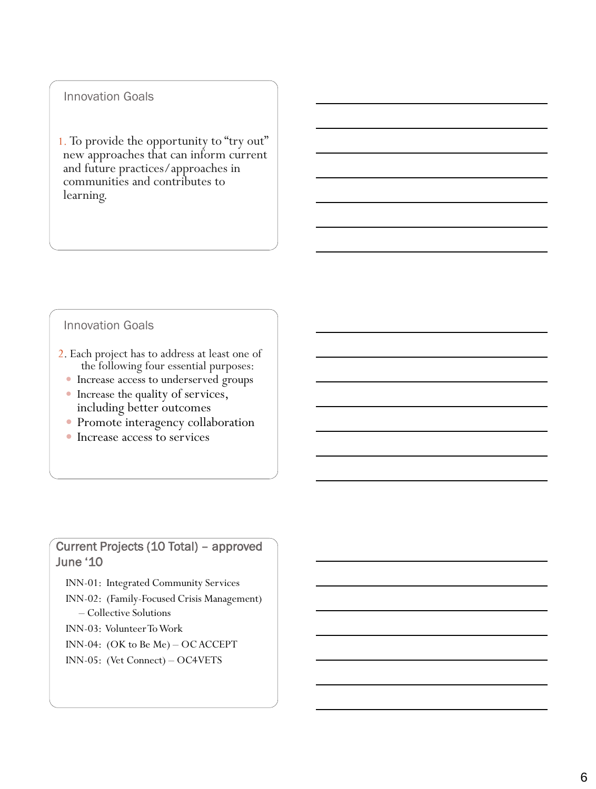#### Innovation Goals

1. To provide the opportunity to "try out" new approaches that can inform current and future practices/approaches in communities and contributes to learning.

#### Innovation Goals

- 2. Each project has to address at least one of the following four essential purposes:
	- Increase access to underserved groups
	- Increase the quality of services, including better outcomes
	- Promote interagency collaboration
	- Increase access to services

### Current Projects (10 Total) – approved June '10

INN-01: Integrated Community Services

- INN-02: (Family-Focused Crisis Management) – Collective Solutions
- INN-03: Volunteer To Work
- INN-04: (OK to Be Me) OC ACCEPT
- INN-05: (Vet Connect) OC4VETS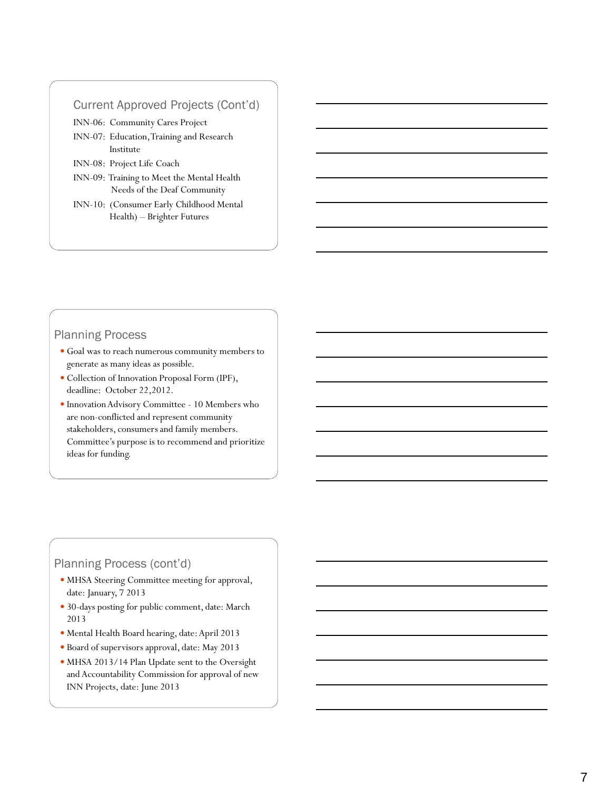#### Current Approved Projects (Cont'd)

INN -06: Community Cares Project

- INN -07: Education, Training and Research Institute
- INN -08: Project Life Coach
- INN -09: Training to Meet the Mental Health Needs of the Deaf Community
- INN -10: (Consumer Early Childhood Mental Health) – Brighter Futures

#### Planning Process

- Goal was to reach numerous community members to generate as many ideas as possible.
- Collection of Innovation Proposal Form (IPF), deadline: October 22,2012.
- $\bullet$  Innovation Advisory Committee 10 Members who are non -conflicted and represent community stakeholders, consumers and family members. Committee's purpose is to recommend and prioritize ideas for funding.

#### Planning Process (cont'd)

- MHSA Steering Committee meeting for approval, date: January, 7 2013
- 30 -days posting for public comment, date: March 2013
- Mental Health Board hearing, date: April 2013
- Board of supervisors approval, date: May 2013
- MHSA 2013/14 Plan Update sent to the Oversight and Accountability Commission for approval of new INN Projects, date: June 2013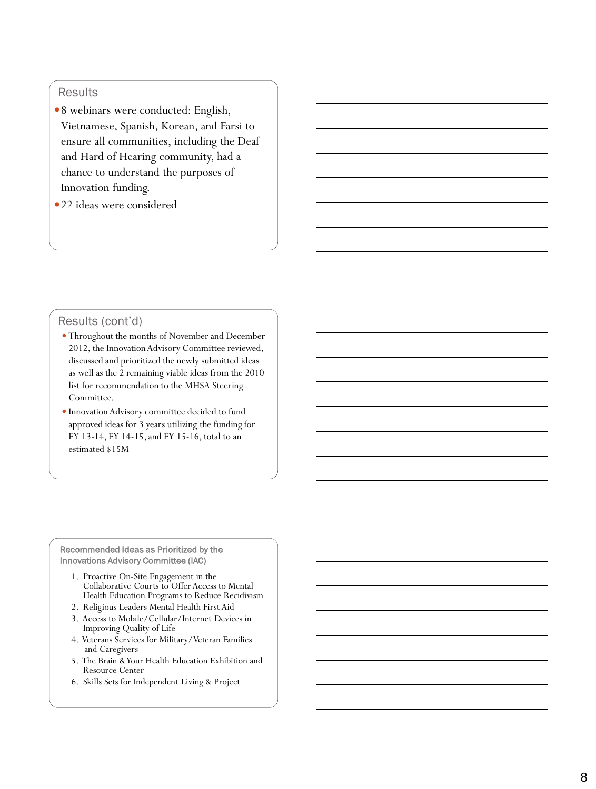#### **Results**

- 8 webinars were conducted: English, Vietnamese, Spanish, Korean, and Farsi to ensure all communities, including the Deaf and Hard of Hearing community, had a chance to understand the purposes of Innovation funding.
- •22 ideas were considered

#### Results (cont'd)

- Throughout the months of November and December 2012, the Innovation Advisory Committee reviewed, discussed and prioritized the newly submitted ideas as well as the 2 remaining viable ideas from the 2010 list for recommendation to the MHSA Steering Committee.
- Innovation Advisory committee decided to fund approved ideas for 3 years utilizing the funding for FY 13 -14, FY 14 -15, and FY 15 -16, total to an estimated \$15M

Recommended Ideas as Prioritized by the Innovations Advisory Committee (IAC)

- 1. Proactive On -Site Engagement in the Collaborative Courts to Offer Access to Mental Health Education Programs to Reduce Recidivism
- 2. Religious Leaders Mental Health First Aid
- 3. Access to Mobile/Cellular/Internet Devices in Improving Quality of Life
- 4. Veterans Services for Military/Veteran Families and Caregivers
- 5. The Brain & Your Health Education Exhibition and Resource Center
- 6. Skills Sets for Independent Living & Project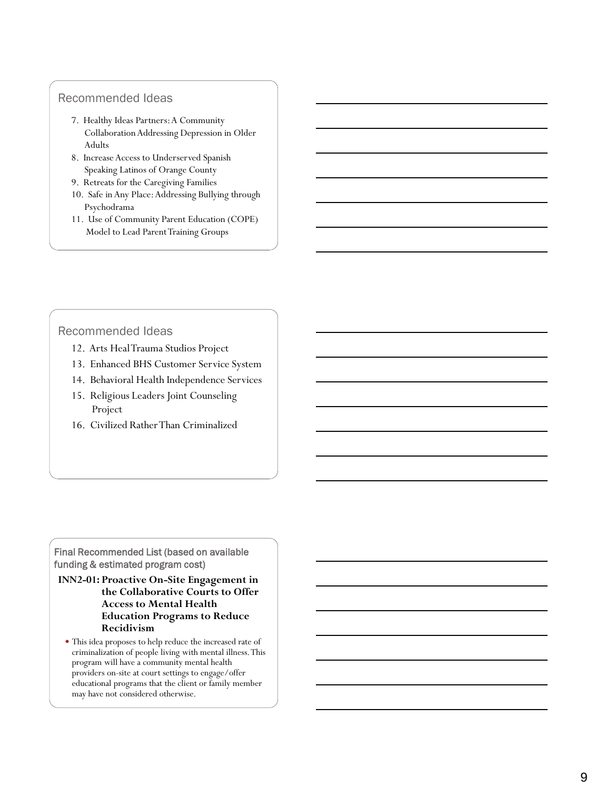#### Recommended Ideas

- 7. Healthy Ideas Partners: A Community Collaboration Addressing Depression in Older Adults
- 8. Increase Access to Underserved Spanish Speaking Latinos of Orange County
- 9. Retreats for the Caregiving Families
- 10. Safe in Any Place: Addressing Bullying through Psychodrama
- 11. Use of Community Parent Education (COPE) Model to Lead Parent Training Groups

#### Recommended Ideas

- 12. Arts Heal Trauma Studios Project
- 13. Enhanced BHS Customer Service System
- 14. Behavioral Health Independence Services
- 15. Religious Leaders Joint Counseling Project
- 16. Civilized Rather Than Criminalized

Final Recommended List (based on available funding & estimated program cost)

- **INN2 -01 : Proactive On -Site Engagement in the Collaborative Courts to Offer Access to Mental Health Education Programs to Reduce Recidivism**
	- This idea proposes to help reduce the increased rate of criminalization of people living with mental illness. This program will have a community mental health providers on -site at court settings to engage/offer educational programs that the client or family member may have not considered otherwise.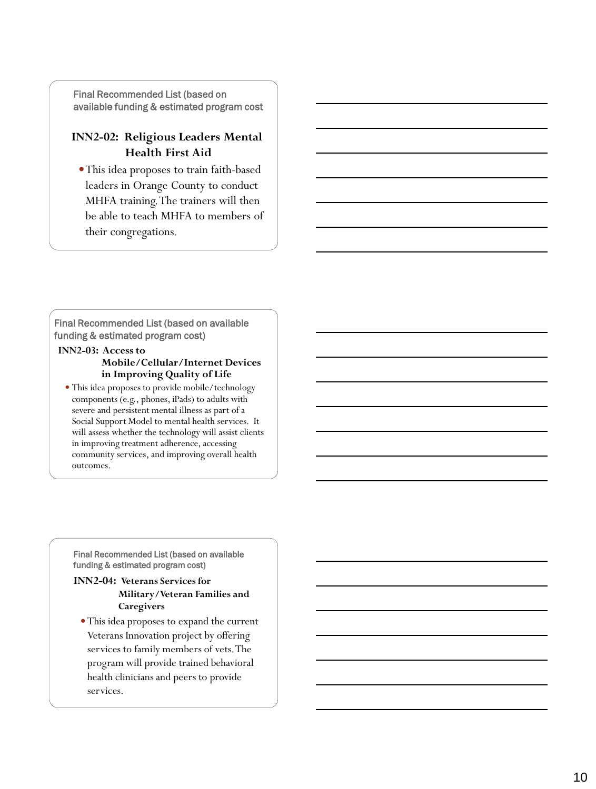Final Recommended List (based on available funding & estimated program cost

#### **INN2 -02: Religious Leaders Mental Health First Aid**

This idea proposes to train faith -based leaders in Orange County to conduct MHFA training. The trainers will then be able to teach MHFA to members of their congregations.

Final Recommended List (based on available funding & estimated program cost)

#### **INN2 -03: Access to Mobile/Cellular/Internet Devices in Improving Quality of Life**

 This idea proposes to provide mobile/technology components (e.g., phones, iPads) to adults with severe and persistent mental illness as part of a Social Support Model to mental health services. It will assess whether the technology will assist clients in improving treatment adherence, accessing community services, and improving overall health outcomes.

Final Recommended List (based on available funding & estimated program cost)

#### **INN2 -04: Veterans Services for Military/Veteran Families and Caregivers**

This idea proposes to expand the current Veterans Innovation project by offering services to family members of vets. The program will provide trained behavioral health clinicians and peers to provide services.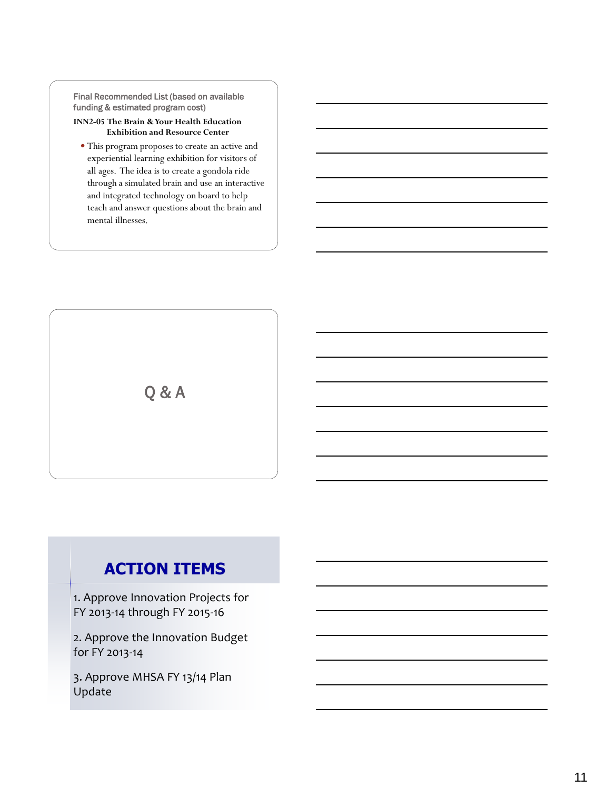Final Recommended List (based on available funding & estimated program cost)

#### **INN2-05 The Brain & Your Health Education Exhibition and Resource Center**

 This program proposes to create an active and experiential learning exhibition for visitors of all ages. The idea is to create a gondola ride through a simulated brain and use an interactive and integrated technology on board to help teach and answer questions about the brain and mental illnesses.

Q & A

## **ACTION ITEMS**

1. Approve Innovation Projects for FY 2013-14 through FY 2015-16

2. Approve the Innovation Budget for FY 2013-14

3. Approve MHSA FY 13/14 Plan Update